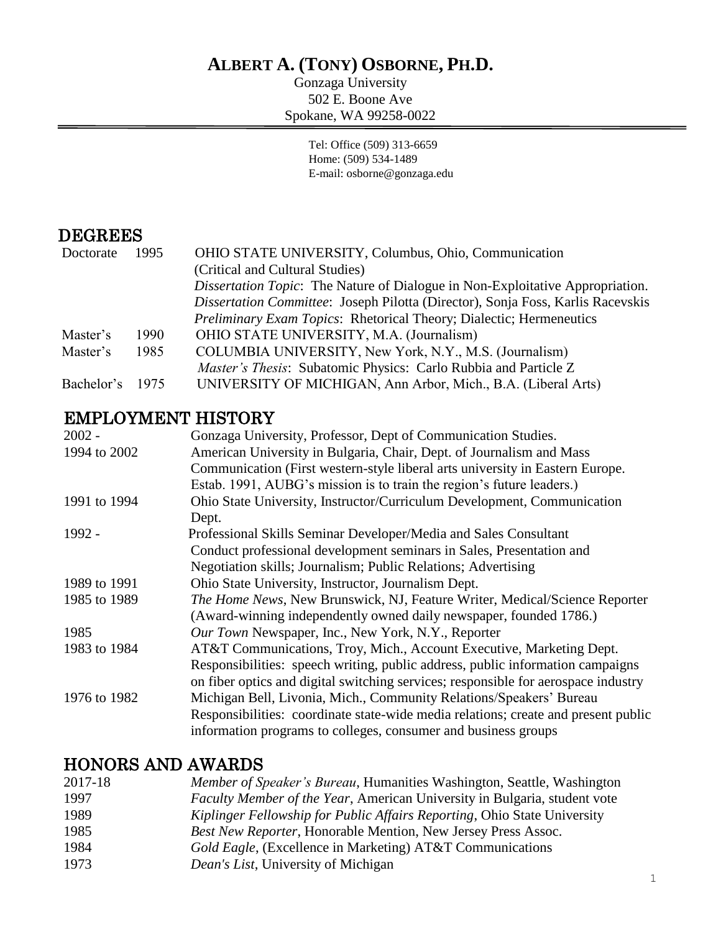# **ALBERT A. (TONY) OSBORNE, PH.D.**

Gonzaga University 502 E. Boone Ave Spokane, WA 99258-0022

> Tel: Office (509) 313-6659 Home: (509) 534-1489 E-mail: osborne@gonzaga.edu

## DEGREES

| Doctorate  | 1995 | OHIO STATE UNIVERSITY, Columbus, Ohio, Communication                            |
|------------|------|---------------------------------------------------------------------------------|
|            |      | (Critical and Cultural Studies)                                                 |
|            |      | Dissertation Topic: The Nature of Dialogue in Non-Exploitative Appropriation.   |
|            |      | Dissertation Committee: Joseph Pilotta (Director), Sonja Foss, Karlis Racevskis |
|            |      | Preliminary Exam Topics: Rhetorical Theory; Dialectic; Hermeneutics             |
| Master's   | 1990 | OHIO STATE UNIVERSITY, M.A. (Journalism)                                        |
| Master's   | 1985 | COLUMBIA UNIVERSITY, New York, N.Y., M.S. (Journalism)                          |
|            |      | <i>Master's Thesis:</i> Subatomic Physics: Carlo Rubbia and Particle Z          |
| Bachelor's | 1975 | UNIVERSITY OF MICHIGAN, Ann Arbor, Mich., B.A. (Liberal Arts)                   |

# EMPLOYMENT HISTORY

| $2002 -$<br>Gonzaga University, Professor, Dept of Communication Studies.                          |  |
|----------------------------------------------------------------------------------------------------|--|
| American University in Bulgaria, Chair, Dept. of Journalism and Mass<br>1994 to 2002               |  |
| Communication (First western-style liberal arts university in Eastern Europe.                      |  |
| Estab. 1991, AUBG's mission is to train the region's future leaders.)                              |  |
| Ohio State University, Instructor/Curriculum Development, Communication<br>1991 to 1994            |  |
| Dept.                                                                                              |  |
| 1992 -<br>Professional Skills Seminar Developer/Media and Sales Consultant                         |  |
| Conduct professional development seminars in Sales, Presentation and                               |  |
| Negotiation skills; Journalism; Public Relations; Advertising                                      |  |
| Ohio State University, Instructor, Journalism Dept.<br>1989 to 1991                                |  |
| 1985 to 1989<br><i>The Home News</i> , New Brunswick, NJ, Feature Writer, Medical/Science Reporter |  |
| (Award-winning independently owned daily newspaper, founded 1786.)                                 |  |
| Our Town Newspaper, Inc., New York, N.Y., Reporter<br>1985                                         |  |
| AT&T Communications, Troy, Mich., Account Executive, Marketing Dept.<br>1983 to 1984               |  |
| Responsibilities: speech writing, public address, public information campaigns                     |  |
| on fiber optics and digital switching services; responsible for aerospace industry                 |  |
| Michigan Bell, Livonia, Mich., Community Relations/Speakers' Bureau<br>1976 to 1982                |  |
| Responsibilities: coordinate state-wide media relations; create and present public                 |  |
| information programs to colleges, consumer and business groups                                     |  |

## HONORS AND AWARDS

| 2017-18 | <i>Member of Speaker's Bureau</i> , Humanities Washington, Seattle, Washington |
|---------|--------------------------------------------------------------------------------|
| 1997    | Faculty Member of the Year, American University in Bulgaria, student vote      |
| 1989    | Kiplinger Fellowship for Public Affairs Reporting, Ohio State University       |
| 1985    | Best New Reporter, Honorable Mention, New Jersey Press Assoc.                  |
| 1984    | <i>Gold Eagle</i> , (Excellence in Marketing) AT&T Communications              |
| 1973    | <i>Dean's List</i> , University of Michigan                                    |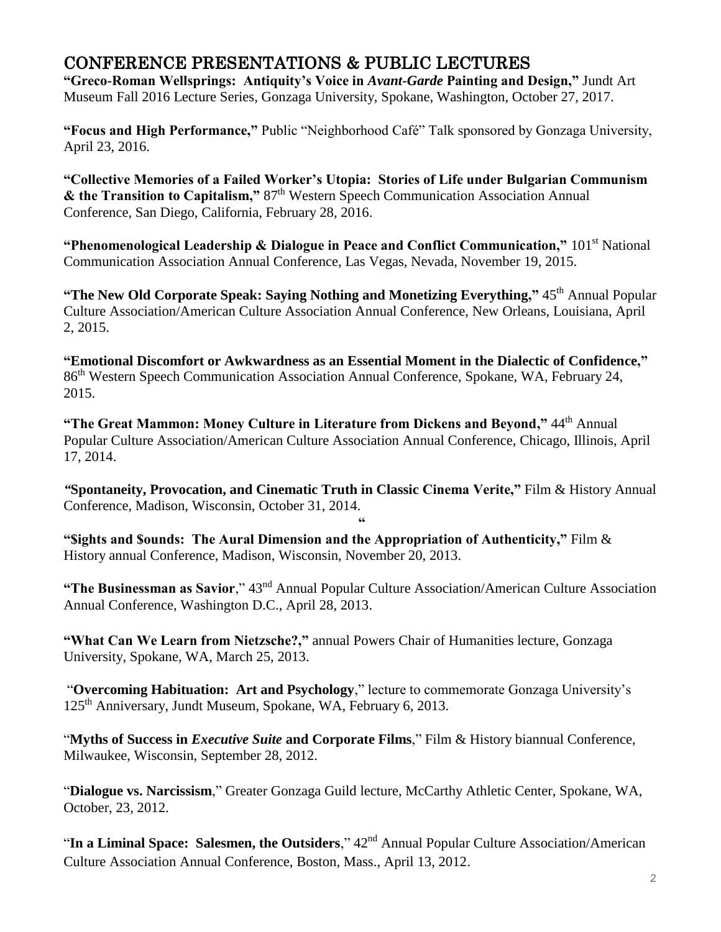## CONFERENCE PRESENTATIONS & PUBLIC LECTURES

**"Greco-Roman Wellsprings: Antiquity's Voice in** *Avant-Garde* **Painting and Design,"** Jundt Art Museum Fall 2016 Lecture Series, Gonzaga University, Spokane, Washington, October 27, 2017.

**"Focus and High Performance,"** Public "Neighborhood Café" Talk sponsored by Gonzaga University, April 23, 2016.

**"Collective Memories of a Failed Worker's Utopia: Stories of Life under Bulgarian Communism & the Transition to Capitalism,"** 87th Western Speech Communication Association Annual Conference, San Diego, California, February 28, 2016.

**"Phenomenological Leadership & Dialogue in Peace and Conflict Communication,"** 101<sup>st</sup> National Communication Association Annual Conference, Las Vegas, Nevada, November 19, 2015.

"The New Old Corporate Speak: Saying Nothing and Monetizing Everything," 45<sup>th</sup> Annual Popular Culture Association/American Culture Association Annual Conference, New Orleans, Louisiana, April 2, 2015.

**"Emotional Discomfort or Awkwardness as an Essential Moment in the Dialectic of Confidence,"** 86th Western Speech Communication Association Annual Conference, Spokane, WA, February 24, 2015.

"The Great Mammon: Money Culture in Literature from Dickens and Beyond," 44<sup>th</sup> Annual Popular Culture Association/American Culture Association Annual Conference, Chicago, Illinois, April 17, 2014.

*"***Spontaneity, Provocation, and Cinematic Truth in Classic Cinema Verite,"** Film & History Annual Conference, Madison, Wisconsin, October 31, 2014.

**"**

**"\$ights and \$ounds: The Aural Dimension and the Appropriation of Authenticity,"** Film & History annual Conference, Madison, Wisconsin, November 20, 2013.

**"The Businessman as Savior**," 43nd Annual Popular Culture Association/American Culture Association Annual Conference, Washington D.C., April 28, 2013.

**"What Can We Learn from Nietzsche?,"** annual Powers Chair of Humanities lecture, Gonzaga University, Spokane, WA, March 25, 2013.

"**Overcoming Habituation: Art and Psychology**," lecture to commemorate Gonzaga University's 125<sup>th</sup> Anniversary, Jundt Museum, Spokane, WA, February 6, 2013.

"**Myths of Success in** *Executive Suite* **and Corporate Films**," Film & History biannual Conference, Milwaukee, Wisconsin, September 28, 2012.

"**Dialogue vs. Narcissism**," Greater Gonzaga Guild lecture, McCarthy Athletic Center, Spokane, WA, October, 23, 2012.

"**In a Liminal Space: Salesmen, the Outsiders**," 42<sup>nd</sup> Annual Popular Culture Association/American Culture Association Annual Conference, Boston, Mass., April 13, 2012.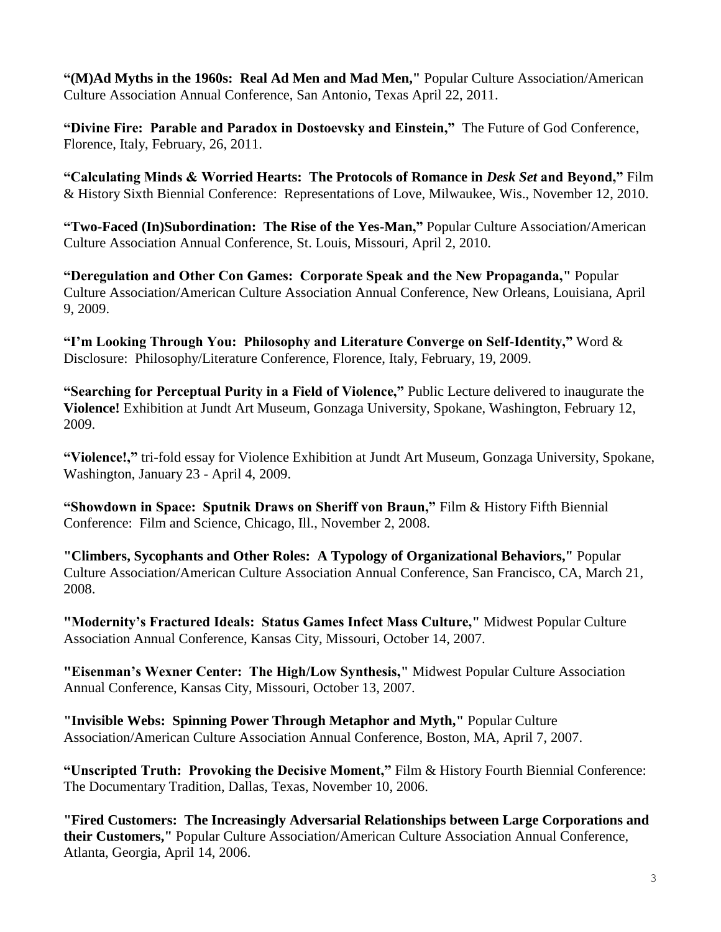**"(M)Ad Myths in the 1960s: Real Ad Men and Mad Men,"** Popular Culture Association/American Culture Association Annual Conference, San Antonio, Texas April 22, 2011.

**"Divine Fire: Parable and Paradox in Dostoevsky and Einstein,"** The Future of God Conference, Florence, Italy, February, 26, 2011.

**"Calculating Minds & Worried Hearts: The Protocols of Romance in** *Desk Set* **and Beyond,"** Film & History Sixth Biennial Conference: Representations of Love, Milwaukee, Wis., November 12, 2010.

**"Two-Faced (In)Subordination: The Rise of the Yes-Man,"** Popular Culture Association/American Culture Association Annual Conference, St. Louis, Missouri, April 2, 2010.

**"Deregulation and Other Con Games: Corporate Speak and the New Propaganda,"** Popular Culture Association/American Culture Association Annual Conference, New Orleans, Louisiana, April 9, 2009.

**"I'm Looking Through You: Philosophy and Literature Converge on Self-Identity,"** Word & Disclosure: Philosophy/Literature Conference, Florence, Italy, February, 19, 2009.

**"Searching for Perceptual Purity in a Field of Violence,"** Public Lecture delivered to inaugurate the **Violence!** Exhibition at Jundt Art Museum, Gonzaga University, Spokane, Washington, February 12, 2009.

**"Violence!,"** tri-fold essay for Violence Exhibition at Jundt Art Museum, Gonzaga University, Spokane, Washington, January 23 - April 4, 2009.

**"Showdown in Space: Sputnik Draws on Sheriff von Braun,"** Film & History Fifth Biennial Conference: Film and Science, Chicago, Ill., November 2, 2008.

**"Climbers, Sycophants and Other Roles: A Typology of Organizational Behaviors,"** Popular Culture Association/American Culture Association Annual Conference, San Francisco, CA, March 21, 2008.

**"Modernity's Fractured Ideals: Status Games Infect Mass Culture,"** Midwest Popular Culture Association Annual Conference, Kansas City, Missouri, October 14, 2007.

**"Eisenman's Wexner Center: The High/Low Synthesis,"** Midwest Popular Culture Association Annual Conference, Kansas City, Missouri, October 13, 2007.

**"Invisible Webs: Spinning Power Through Metaphor and Myth,"** Popular Culture Association/American Culture Association Annual Conference, Boston, MA, April 7, 2007.

**"Unscripted Truth: Provoking the Decisive Moment,"** Film & History Fourth Biennial Conference: The Documentary Tradition, Dallas, Texas, November 10, 2006.

**"Fired Customers: The Increasingly Adversarial Relationships between Large Corporations and their Customers,"** Popular Culture Association/American Culture Association Annual Conference, Atlanta, Georgia, April 14, 2006.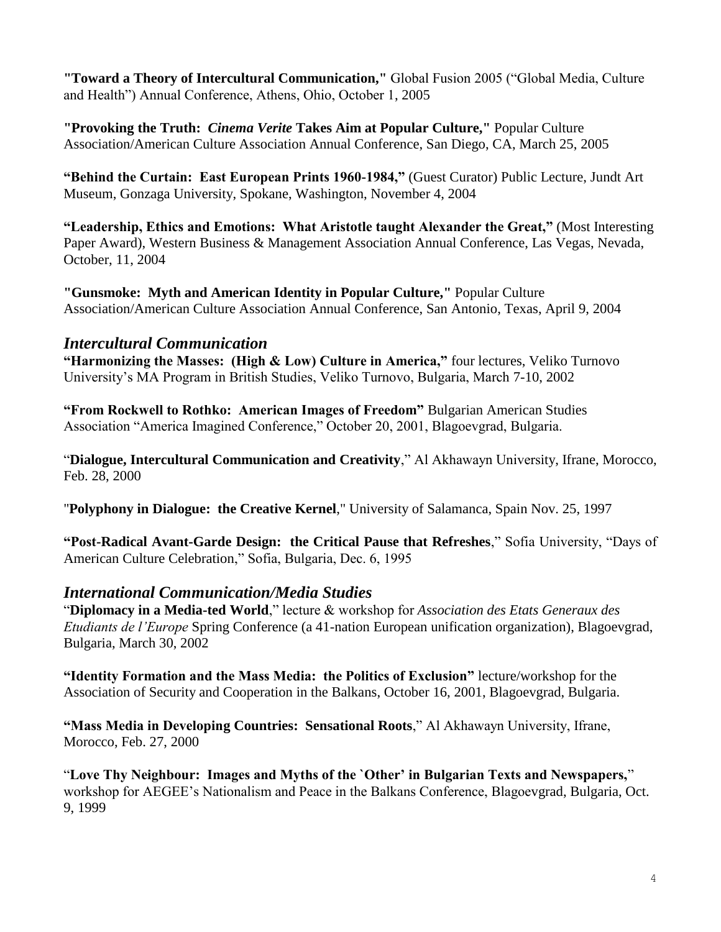**"Toward a Theory of Intercultural Communication,"** Global Fusion 2005 ("Global Media, Culture and Health") Annual Conference, Athens, Ohio, October 1, 2005

**"Provoking the Truth:** *Cinema Verite* **Takes Aim at Popular Culture,"** Popular Culture Association/American Culture Association Annual Conference, San Diego, CA, March 25, 2005

**"Behind the Curtain: East European Prints 1960-1984,"** (Guest Curator) Public Lecture, Jundt Art Museum, Gonzaga University, Spokane, Washington, November 4, 2004

**"Leadership, Ethics and Emotions: What Aristotle taught Alexander the Great,"** (Most Interesting Paper Award), Western Business & Management Association Annual Conference, Las Vegas, Nevada, October, 11, 2004

**"Gunsmoke: Myth and American Identity in Popular Culture,"** Popular Culture Association/American Culture Association Annual Conference, San Antonio, Texas, April 9, 2004

#### *Intercultural Communication*

**"Harmonizing the Masses: (High & Low) Culture in America,"** four lectures, Veliko Turnovo University's MA Program in British Studies, Veliko Turnovo, Bulgaria, March 7-10, 2002

**"From Rockwell to Rothko: American Images of Freedom"** Bulgarian American Studies Association "America Imagined Conference," October 20, 2001, Blagoevgrad, Bulgaria.

"**Dialogue, Intercultural Communication and Creativity**," Al Akhawayn University, Ifrane, Morocco, Feb. 28, 2000

"**Polyphony in Dialogue: the Creative Kernel**," University of Salamanca, Spain Nov. 25, 1997

**"Post-Radical Avant-Garde Design: the Critical Pause that Refreshes**," Sofia University, "Days of American Culture Celebration," Sofia, Bulgaria, Dec. 6, 1995

#### *International Communication/Media Studies*

"**Diplomacy in a Media-ted World**," lecture & workshop for *Association des Etats Generaux des Etudiants de l'Europe* Spring Conference (a 41-nation European unification organization), Blagoevgrad, Bulgaria, March 30, 2002

**"Identity Formation and the Mass Media: the Politics of Exclusion"** lecture/workshop for the Association of Security and Cooperation in the Balkans, October 16, 2001, Blagoevgrad, Bulgaria.

**"Mass Media in Developing Countries: Sensational Roots**," Al Akhawayn University, Ifrane, Morocco, Feb. 27, 2000

"**Love Thy Neighbour: Images and Myths of the `Other' in Bulgarian Texts and Newspapers,**" workshop for AEGEE's Nationalism and Peace in the Balkans Conference, Blagoevgrad, Bulgaria, Oct. 9, 1999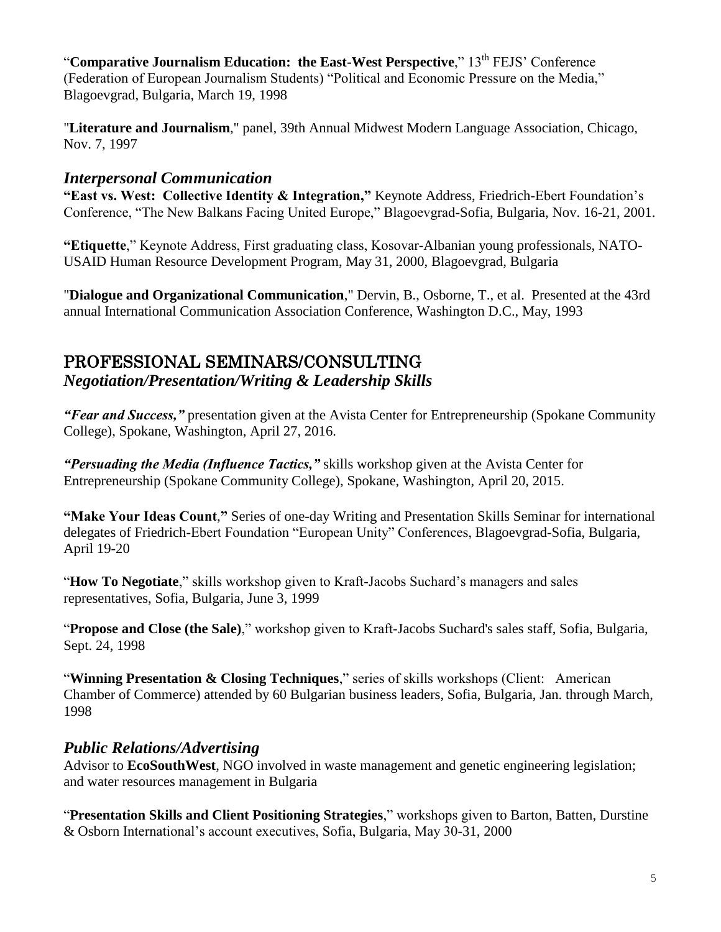"**Comparative Journalism Education: the East-West Perspective**," 13<sup>th</sup> FEJS' Conference (Federation of European Journalism Students) "Political and Economic Pressure on the Media," Blagoevgrad, Bulgaria, March 19, 1998

"**Literature and Journalism**," panel, 39th Annual Midwest Modern Language Association, Chicago, Nov. 7, 1997

### *Interpersonal Communication*

**"East vs. West: Collective Identity & Integration,"** Keynote Address, Friedrich-Ebert Foundation's Conference, "The New Balkans Facing United Europe," Blagoevgrad-Sofia, Bulgaria, Nov. 16-21, 2001.

**"Etiquette**," Keynote Address, First graduating class, Kosovar-Albanian young professionals, NATO-USAID Human Resource Development Program, May 31, 2000, Blagoevgrad, Bulgaria

"**Dialogue and Organizational Communication**," Dervin, B., Osborne, T., et al. Presented at the 43rd annual International Communication Association Conference, Washington D.C., May, 1993

# PROFESSIONAL SEMINARS/CONSULTING

*Negotiation/Presentation/Writing & Leadership Skills*

*"Fear and Success,"* presentation given at the Avista Center for Entrepreneurship (Spokane Community College), Spokane, Washington, April 27, 2016.

*"Persuading the Media (Influence Tactics,"* skills workshop given at the Avista Center for Entrepreneurship (Spokane Community College), Spokane, Washington, April 20, 2015.

**"Make Your Ideas Count**,**"** Series of one-day Writing and Presentation Skills Seminar for international delegates of Friedrich-Ebert Foundation "European Unity" Conferences, Blagoevgrad-Sofia, Bulgaria, April 19-20

"**How To Negotiate**," skills workshop given to Kraft-Jacobs Suchard's managers and sales representatives, Sofia, Bulgaria, June 3, 1999

"**Propose and Close (the Sale)**," workshop given to Kraft-Jacobs Suchard's sales staff, Sofia, Bulgaria, Sept. 24, 1998

"Winning Presentation & Closing Techniques," series of skills workshops (Client: American Chamber of Commerce) attended by 60 Bulgarian business leaders, Sofia, Bulgaria, Jan. through March, 1998

## *Public Relations/Advertising*

Advisor to **EcoSouthWest**, NGO involved in waste management and genetic engineering legislation; and water resources management in Bulgaria

"**Presentation Skills and Client Positioning Strategies**," workshops given to Barton, Batten, Durstine & Osborn International's account executives, Sofia, Bulgaria, May 30-31, 2000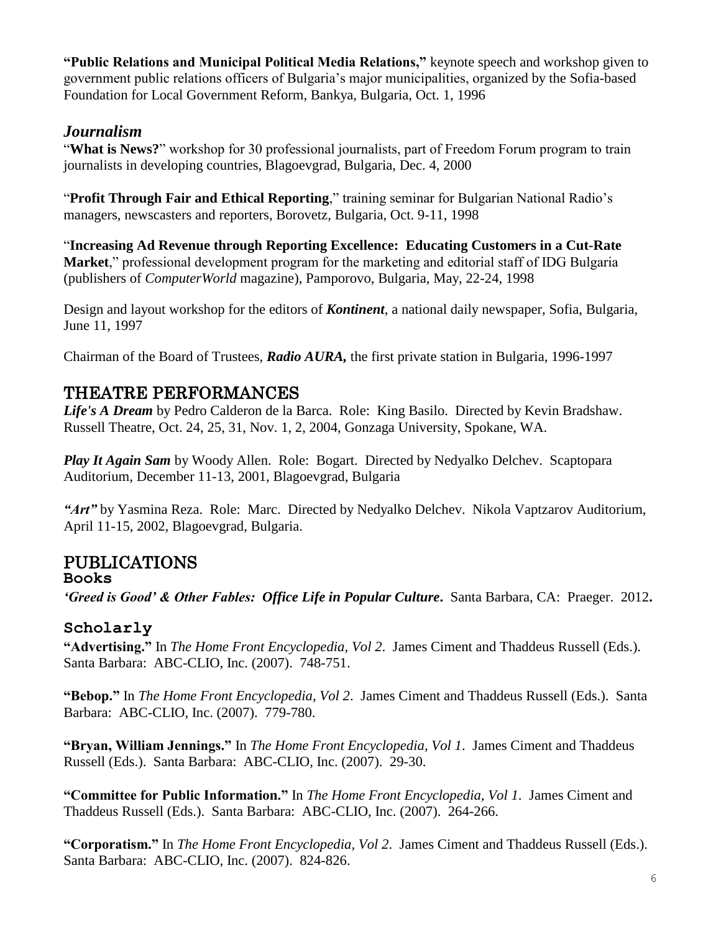**"Public Relations and Municipal Political Media Relations,"** keynote speech and workshop given to government public relations officers of Bulgaria's major municipalities, organized by the Sofia-based Foundation for Local Government Reform, Bankya, Bulgaria, Oct. 1, 1996

### *Journalism*

"**What is News?**" workshop for 30 professional journalists, part of Freedom Forum program to train journalists in developing countries, Blagoevgrad, Bulgaria, Dec. 4, 2000

"**Profit Through Fair and Ethical Reporting**," training seminar for Bulgarian National Radio's managers, newscasters and reporters, Borovetz, Bulgaria, Oct. 9-11, 1998

"**Increasing Ad Revenue through Reporting Excellence: Educating Customers in a Cut-Rate Market**," professional development program for the marketing and editorial staff of IDG Bulgaria (publishers of *ComputerWorld* magazine), Pamporovo, Bulgaria, May, 22-24, 1998

Design and layout workshop for the editors of *Kontinent*, a national daily newspaper, Sofia, Bulgaria, June 11, 1997

Chairman of the Board of Trustees, *Radio AURA,* the first private station in Bulgaria, 1996-1997

## THEATRE PERFORMANCES

*Life's A Dream* by Pedro Calderon de la Barca. Role: King Basilo. Directed by Kevin Bradshaw. Russell Theatre, Oct. 24, 25, 31, Nov. 1, 2, 2004, Gonzaga University, Spokane, WA.

*Play It Again Sam* by Woody Allen. Role: Bogart. Directed by Nedyalko Delchev. Scaptopara Auditorium, December 11-13, 2001, Blagoevgrad, Bulgaria

*"Art"* by Yasmina Reza. Role: Marc. Directed by Nedyalko Delchev. Nikola Vaptzarov Auditorium, April 11-15, 2002, Blagoevgrad, Bulgaria.

## PUBLICATIONS

**Books**

*'Greed is Good' & Other Fables: Office Life in Popular Culture***.** Santa Barbara, CA: Praeger. 2012**.**

### **Scholarly**

**"Advertising."** In *The Home Front Encyclopedia, Vol 2*. James Ciment and Thaddeus Russell (Eds.). Santa Barbara: ABC-CLIO, Inc. (2007). 748-751.

**"Bebop."** In *The Home Front Encyclopedia, Vol 2*. James Ciment and Thaddeus Russell (Eds.). Santa Barbara: ABC-CLIO, Inc. (2007). 779-780.

**"Bryan, William Jennings."** In *The Home Front Encyclopedia, Vol 1*. James Ciment and Thaddeus Russell (Eds.). Santa Barbara: ABC-CLIO, Inc. (2007). 29-30.

**"Committee for Public Information."** In *The Home Front Encyclopedia, Vol 1*. James Ciment and Thaddeus Russell (Eds.). Santa Barbara: ABC-CLIO, Inc. (2007). 264-266.

**"Corporatism."** In *The Home Front Encyclopedia, Vol 2*. James Ciment and Thaddeus Russell (Eds.). Santa Barbara: ABC-CLIO, Inc. (2007). 824-826.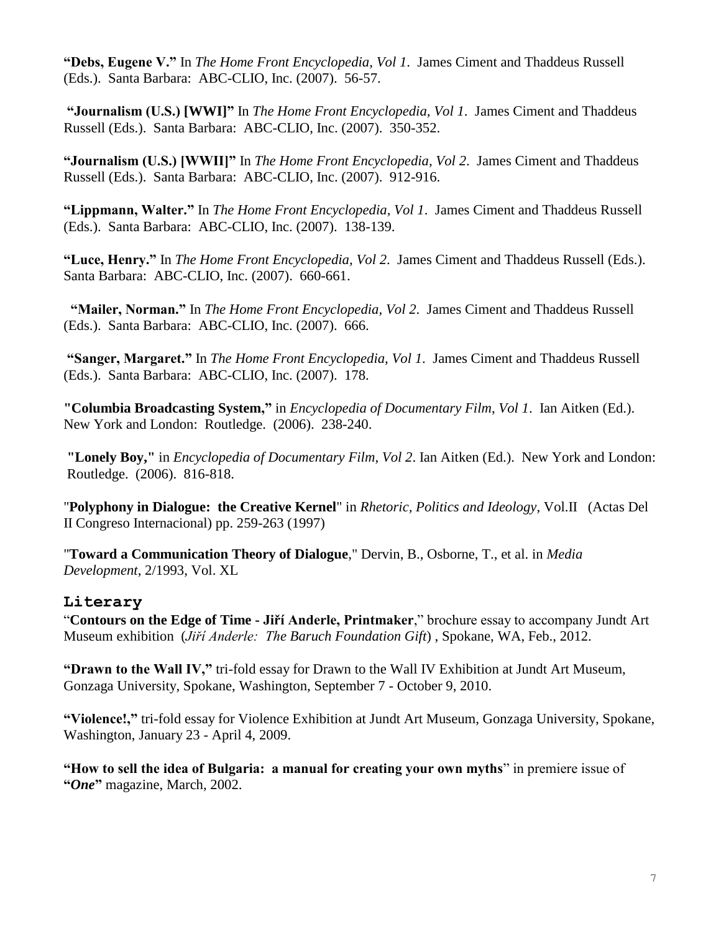**"Debs, Eugene V."** In *The Home Front Encyclopedia, Vol 1*. James Ciment and Thaddeus Russell (Eds.). Santa Barbara: ABC-CLIO, Inc. (2007). 56-57.

**"Journalism (U.S.) [WWI]"** In *The Home Front Encyclopedia, Vol 1*. James Ciment and Thaddeus Russell (Eds.). Santa Barbara: ABC-CLIO, Inc. (2007). 350-352.

**"Journalism (U.S.) [WWII]"** In *The Home Front Encyclopedia, Vol 2*. James Ciment and Thaddeus Russell (Eds.). Santa Barbara: ABC-CLIO, Inc. (2007). 912-916.

**"Lippmann, Walter."** In *The Home Front Encyclopedia, Vol 1*. James Ciment and Thaddeus Russell (Eds.). Santa Barbara: ABC-CLIO, Inc. (2007). 138-139.

**"Luce, Henry."** In *The Home Front Encyclopedia, Vol 2*. James Ciment and Thaddeus Russell (Eds.). Santa Barbara: ABC-CLIO, Inc. (2007). 660-661.

**"Mailer, Norman."** In *The Home Front Encyclopedia, Vol 2*. James Ciment and Thaddeus Russell (Eds.). Santa Barbara: ABC-CLIO, Inc. (2007). 666.

**"Sanger, Margaret."** In *The Home Front Encyclopedia, Vol 1*. James Ciment and Thaddeus Russell (Eds.). Santa Barbara: ABC-CLIO, Inc. (2007). 178.

**"Columbia Broadcasting System,"** in *Encyclopedia of Documentary Film*, *Vol 1*. Ian Aitken (Ed.). New York and London: Routledge. (2006). 238-240.

**"Lonely Boy,"** in *Encyclopedia of Documentary Film*, *Vol 2*. Ian Aitken (Ed.). New York and London: Routledge. (2006). 816-818.

"**Polyphony in Dialogue: the Creative Kernel**" in *Rhetoric, Politics and Ideology*, Vol.II (Actas Del II Congreso Internacional) pp. 259-263 (1997)

"**Toward a Communication Theory of Dialogue**," Dervin, B., Osborne, T., et al. in *Media Development*, 2/1993, Vol. XL

#### **Literary**

"**Contours on the Edge of Time - Jiří Anderle, Printmaker**," brochure essay to accompany Jundt Art Museum exhibition (*Jiří Anderle: The Baruch Foundation Gift*) , Spokane, WA, Feb., 2012.

**"Drawn to the Wall IV,"** tri-fold essay for Drawn to the Wall IV Exhibition at Jundt Art Museum, Gonzaga University, Spokane, Washington, September 7 - October 9, 2010.

**"Violence!,"** tri-fold essay for Violence Exhibition at Jundt Art Museum, Gonzaga University, Spokane, Washington, January 23 - April 4, 2009.

**"How to sell the idea of Bulgaria: a manual for creating your own myths**" in premiere issue of **"***One***"** magazine, March, 2002.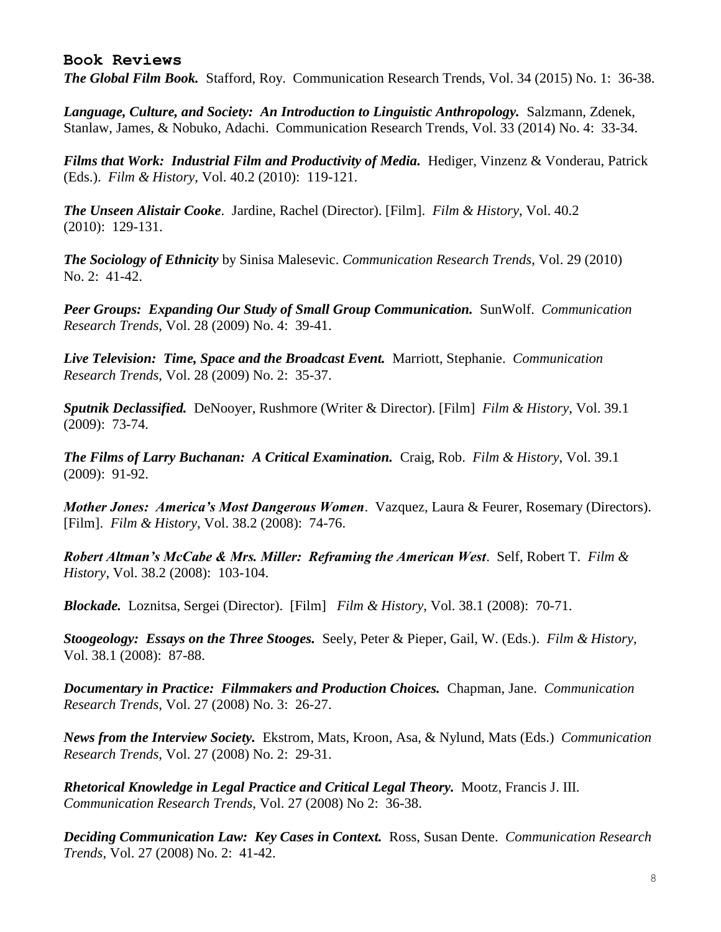#### **Book Reviews**

*The Global Film Book.* Stafford, Roy. Communication Research Trends, Vol. 34 (2015) No. 1: 36-38.

Language, Culture, and Society: An Introduction to Linguistic Anthropology. Salzmann, Zdenek, Stanlaw, James, & Nobuko, Adachi. Communication Research Trends, Vol. 33 (2014) No. 4: 33-34.

**Films that Work: Industrial Film and Productivity of Media.** Hediger, Vinzenz & Vonderau, Patrick (Eds.). *Film & History*, Vol. 40.2 (2010): 119-121.

*The Unseen Alistair Cooke*. Jardine, Rachel (Director). [Film]. *Film & History*, Vol. 40.2 (2010): 129-131.

*The Sociology of Ethnicity* by Sinisa Malesevic. *Communication Research Trends*, Vol. 29 (2010) No. 2: 41-42.

*Peer Groups: Expanding Our Study of Small Group Communication.* SunWolf. *Communication Research Trends*, Vol. 28 (2009) No. 4: 39-41.

*Live Television: Time, Space and the Broadcast Event.* Marriott, Stephanie. *Communication Research Trends*, Vol. 28 (2009) No. 2: 35-37.

*Sputnik Declassified.* DeNooyer, Rushmore (Writer & Director). [Film] *Film & History*, Vol. 39.1 (2009): 73-74.

*The Films of Larry Buchanan: A Critical Examination.* Craig, Rob. *Film & History*, Vol. 39.1 (2009): 91-92.

*Mother Jones: America's Most Dangerous Women*. Vazquez, Laura & Feurer, Rosemary (Directors). [Film]. *Film & History*, Vol. 38.2 (2008): 74-76.

*Robert Altman's McCabe & Mrs. Miller: Reframing the American West*. Self, Robert T. *Film & History*, Vol. 38.2 (2008): 103-104.

*Blockade.* Loznitsa, Sergei (Director). [Film] *Film & History*, Vol. 38.1 (2008): 70-71.

*Stoogeology: Essays on the Three Stooges.* Seely, Peter & Pieper, Gail, W. (Eds.). *Film & History*, Vol. 38.1 (2008): 87-88.

*Documentary in Practice: Filmmakers and Production Choices.* Chapman, Jane. *Communication Research Trends*, Vol. 27 (2008) No. 3: 26-27.

*News from the Interview Society.* Ekstrom, Mats, Kroon, Asa, & Nylund, Mats (Eds.) *Communication Research Trends*, Vol. 27 (2008) No. 2: 29-31.

*Rhetorical Knowledge in Legal Practice and Critical Legal Theory.* Mootz, Francis J. III. *Communication Research Trends*, Vol. 27 (2008) No 2: 36-38.

*Deciding Communication Law: Key Cases in Context.* Ross, Susan Dente. *Communication Research Trends*, Vol. 27 (2008) No. 2: 41-42.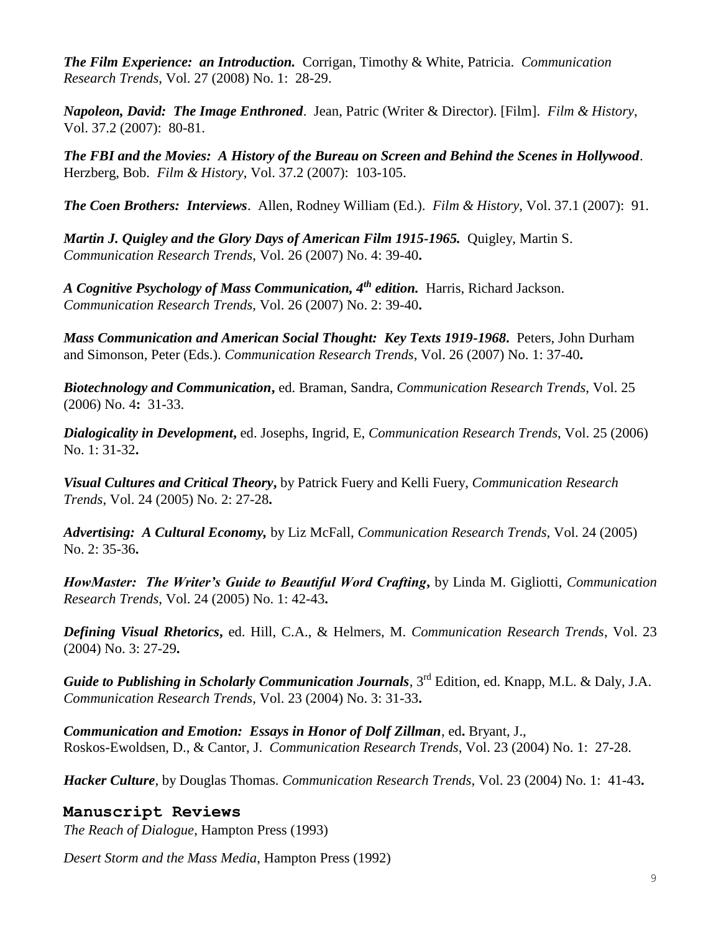*The Film Experience: an Introduction.* Corrigan, Timothy & White, Patricia. *Communication Research Trends*, Vol. 27 (2008) No. 1: 28-29.

*Napoleon, David: The Image Enthroned*. Jean, Patric (Writer & Director). [Film]. *Film & History*, Vol. 37.2 (2007): 80-81.

*The FBI and the Movies: A History of the Bureau on Screen and Behind the Scenes in Hollywood*. Herzberg, Bob. *Film & History*, Vol. 37.2 (2007): 103-105.

*The Coen Brothers: Interviews*. Allen, Rodney William (Ed.). *Film & History*, Vol. 37.1 (2007): 91.

*Martin J. Quigley and the Glory Days of American Film 1915-1965.* Quigley, Martin S. *Communication Research Trends*, Vol. 26 (2007) No. 4: 39-40**.**

*A Cognitive Psychology of Mass Communication, 4th edition.* Harris, Richard Jackson. *Communication Research Trends*, Vol. 26 (2007) No. 2: 39-40**.**

*Mass Communication and American Social Thought: Key Texts 1919-1968***.** Peters, John Durham and Simonson, Peter (Eds.). *Communication Research Trends*, Vol. 26 (2007) No. 1: 37-40**.**

*Biotechnology and Communication***,** ed. Braman, Sandra, *Communication Research Trends*, Vol. 25 (2006) No. 4**:** 31-33.

*Dialogicality in Development***,** ed. Josephs, Ingrid, E, *Communication Research Trends*, Vol. 25 (2006) No. 1: 31-32**.**

*Visual Cultures and Critical Theory***,** by Patrick Fuery and Kelli Fuery, *Communication Research Trends*, Vol. 24 (2005) No. 2: 27-28**.**

*Advertising: A Cultural Economy,* by Liz McFall, *Communication Research Trends*, Vol. 24 (2005) No. 2: 35-36**.**

*HowMaster: The Writer's Guide to Beautiful Word Crafting***,** by Linda M. Gigliotti, *Communication Research Trends*, Vol. 24 (2005) No. 1: 42-43**.**

*Defining Visual Rhetorics***,** ed. Hill, C.A., & Helmers, M. *Communication Research Trends*, Vol. 23 (2004) No. 3: 27-29**.**

*Guide to Publishing in Scholarly Communication Journals*, 3<sup>rd</sup> Edition, ed. Knapp, M.L. & Daly, J.A. *Communication Research Trends*, Vol. 23 (2004) No. 3: 31-33**.**

*Communication and Emotion: Essays in Honor of Dolf Zillman*, ed**.** Bryant, J., Roskos-Ewoldsen, D., & Cantor, J. *Communication Research Trends*, Vol. 23 (2004) No. 1: 27-28.

*Hacker Culture*, by Douglas Thomas. *Communication Research Trends*, Vol. 23 (2004) No. 1: 41-43**.**

### **Manuscript Reviews**

*The Reach of Dialogue*, Hampton Press (1993)

*Desert Storm and the Mass Media*, Hampton Press (1992)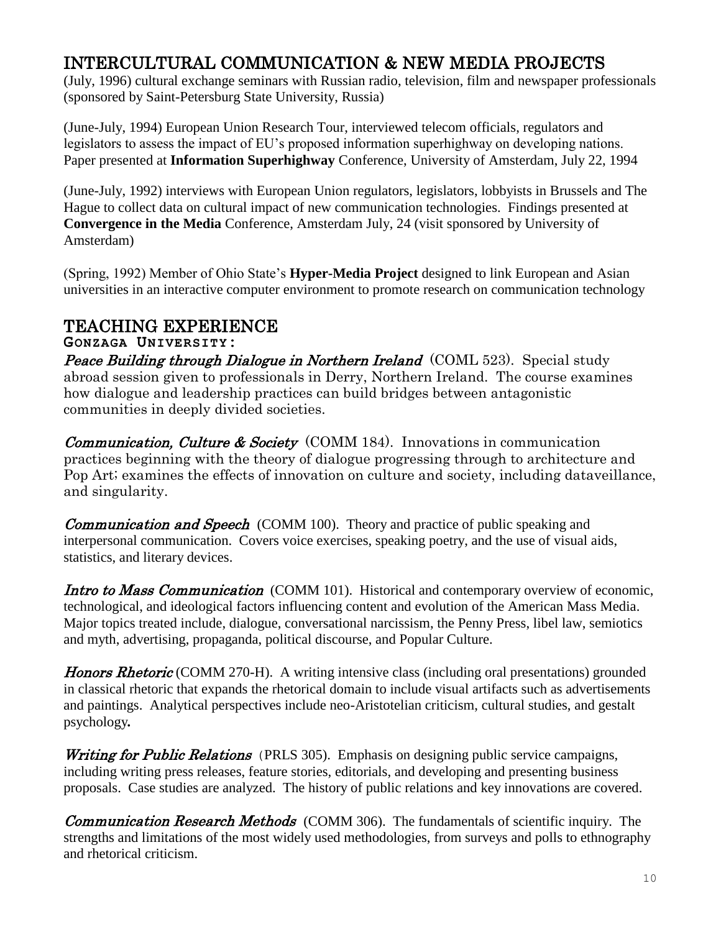# INTERCULTURAL COMMUNICATION & NEW MEDIA PROJECTS

(July, 1996) cultural exchange seminars with Russian radio, television, film and newspaper professionals (sponsored by Saint-Petersburg State University, Russia)

(June-July, 1994) European Union Research Tour, interviewed telecom officials, regulators and legislators to assess the impact of EU's proposed information superhighway on developing nations. Paper presented at **Information Superhighway** Conference, University of Amsterdam, July 22, 1994

(June-July, 1992) interviews with European Union regulators, legislators, lobbyists in Brussels and The Hague to collect data on cultural impact of new communication technologies. Findings presented at **Convergence in the Media** Conference, Amsterdam July, 24 (visit sponsored by University of Amsterdam)

(Spring, 1992) Member of Ohio State's **Hyper-Media Project** designed to link European and Asian universities in an interactive computer environment to promote research on communication technology

## TEACHING EXPERIENCE

**GONZAGA UNIVERSITY:**

**Peace Building through Dialogue in Northern Ireland** (COML 523). Special study abroad session given to professionals in Derry, Northern Ireland. The course examines how dialogue and leadership practices can build bridges between antagonistic communities in deeply divided societies.

*Communication, Culture & Society* (COMM 184). Innovations in communication practices beginning with the theory of dialogue progressing through to architecture and Pop Art; examines the effects of innovation on culture and society, including dataveillance, and singularity.

**Communication and Speech** (COMM 100). Theory and practice of public speaking and interpersonal communication. Covers voice exercises, speaking poetry, and the use of visual aids, statistics, and literary devices.

Intro to Mass Communication (COMM 101). Historical and contemporary overview of economic, technological, and ideological factors influencing content and evolution of the American Mass Media. Major topics treated include, dialogue, conversational narcissism, the Penny Press, libel law, semiotics and myth, advertising, propaganda, political discourse, and Popular Culture.

**Honors Rhetoric** (COMM 270-H). A writing intensive class (including oral presentations) grounded in classical rhetoric that expands the rhetorical domain to include visual artifacts such as advertisements and paintings. Analytical perspectives include neo-Aristotelian criticism, cultural studies, and gestalt psychology*.* 

**Writing for Public Relations** (PRLS 305). Emphasis on designing public service campaigns, including writing press releases, feature stories, editorials, and developing and presenting business proposals. Case studies are analyzed. The history of public relations and key innovations are covered.

**Communication Research Methods** (COMM 306). The fundamentals of scientific inquiry. The strengths and limitations of the most widely used methodologies, from surveys and polls to ethnography and rhetorical criticism.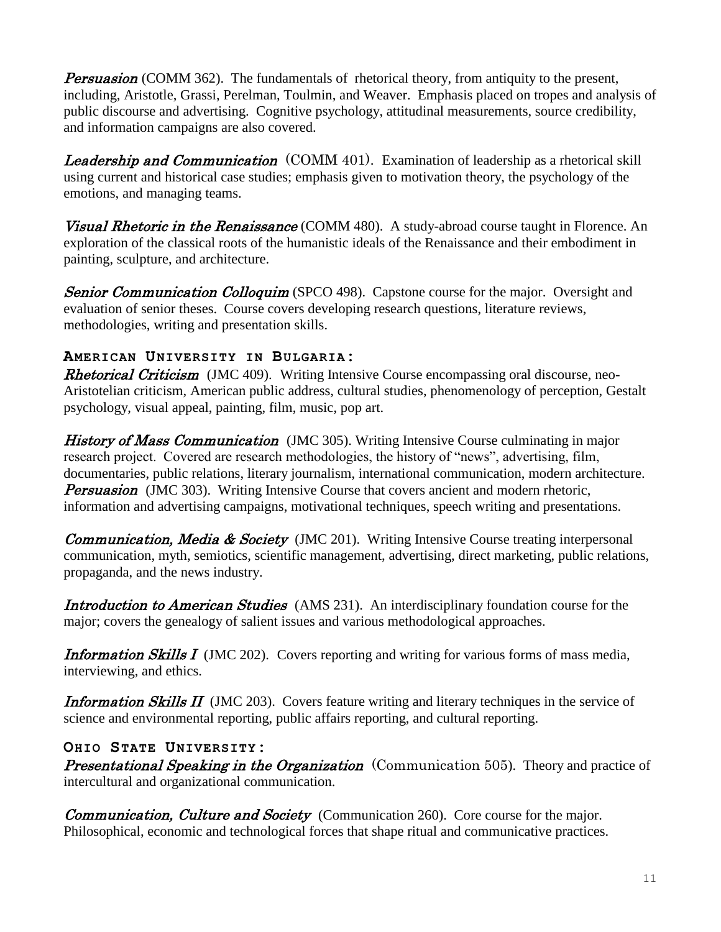**Persuasion** (COMM 362). The fundamentals of rhetorical theory, from antiquity to the present, including, Aristotle, Grassi, Perelman, Toulmin, and Weaver. Emphasis placed on tropes and analysis of public discourse and advertising. Cognitive psychology, attitudinal measurements, source credibility, and information campaigns are also covered.

**Leadership and Communication** (COMM 401). Examination of leadership as a rhetorical skill using current and historical case studies; emphasis given to motivation theory, the psychology of the emotions, and managing teams.

**Visual Rhetoric in the Renaissance** (COMM 480). A study-abroad course taught in Florence. An exploration of the classical roots of the humanistic ideals of the Renaissance and their embodiment in painting, sculpture, and architecture.

**Senior Communication Colloquim** (SPCO 498). Capstone course for the major. Oversight and evaluation of senior theses. Course covers developing research questions, literature reviews, methodologies, writing and presentation skills.

### **AMERICAN UNIVERSITY IN BULGARIA:**

**Rhetorical Criticism** (JMC 409). Writing Intensive Course encompassing oral discourse, neo-Aristotelian criticism, American public address, cultural studies, phenomenology of perception, Gestalt psychology, visual appeal, painting, film, music, pop art.

**History of Mass Communication** (JMC 305). Writing Intensive Course culminating in major research project. Covered are research methodologies, the history of "news", advertising, film, documentaries, public relations, literary journalism, international communication, modern architecture. **Persuasion** (JMC 303). Writing Intensive Course that covers ancient and modern rhetoric, information and advertising campaigns, motivational techniques, speech writing and presentations.

**Communication, Media & Society** (JMC 201). Writing Intensive Course treating interpersonal communication, myth, semiotics, scientific management, advertising, direct marketing, public relations, propaganda, and the news industry.

Introduction to American Studies (AMS 231). An interdisciplinary foundation course for the major; covers the genealogy of salient issues and various methodological approaches.

**Information Skills I** (JMC 202). Covers reporting and writing for various forms of mass media, interviewing, and ethics.

**Information Skills II** (JMC 203). Covers feature writing and literary techniques in the service of science and environmental reporting, public affairs reporting, and cultural reporting.

### **OHIO STATE UNIVERSITY:**

**Presentational Speaking in the Organization** (Communication 505). Theory and practice of intercultural and organizational communication.

**Communication, Culture and Society** (Communication 260). Core course for the major. Philosophical, economic and technological forces that shape ritual and communicative practices.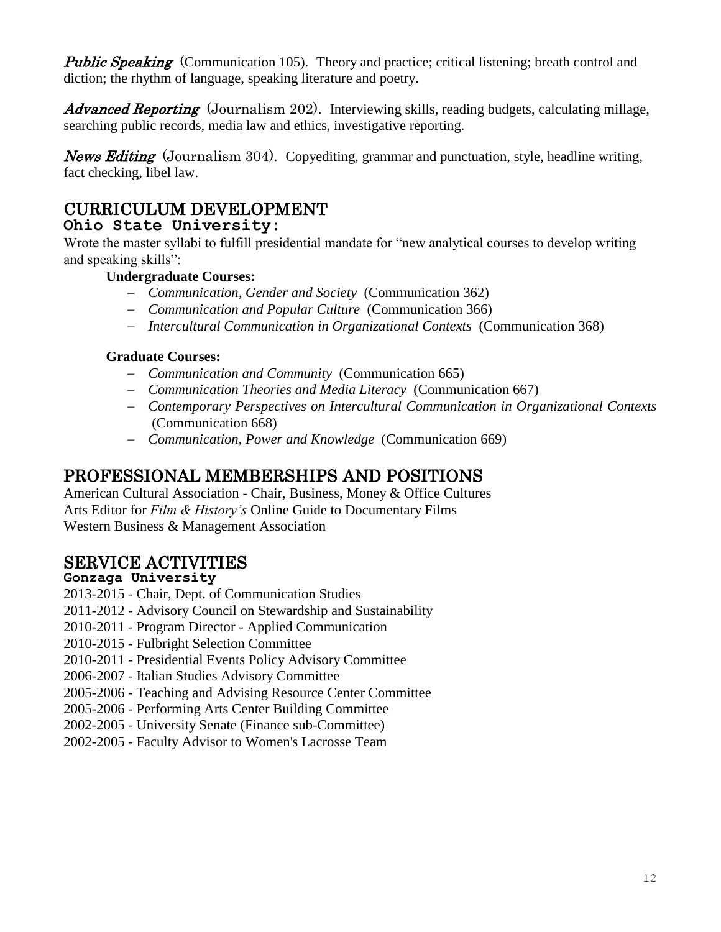**Public Speaking** (Communication 105). Theory and practice; critical listening; breath control and diction; the rhythm of language, speaking literature and poetry.

**Advanced Reporting** (Journalism 202). Interviewing skills, reading budgets, calculating millage, searching public records, media law and ethics, investigative reporting.

News Editing (Journalism 304). Copyediting, grammar and punctuation, style, headline writing, fact checking, libel law.

# CURRICULUM DEVELOPMENT

### **Ohio State University:**

Wrote the master syllabi to fulfill presidential mandate for "new analytical courses to develop writing and speaking skills":

### **Undergraduate Courses:**

- *Communication, Gender and Society* (Communication 362)
- *Communication and Popular Culture* (Communication 366)
- *Intercultural Communication in Organizational Contexts* (Communication 368)

### **Graduate Courses:**

- *Communication and Community* (Communication 665)
- *Communication Theories and Media Literacy* (Communication 667)
- *Contemporary Perspectives on Intercultural Communication in Organizational Contexts*  (Communication 668)
- *Communication, Power and Knowledge* (Communication 669)

## PROFESSIONAL MEMBERSHIPS AND POSITIONS

American Cultural Association - Chair, Business, Money & Office Cultures Arts Editor for *Film & History's* Online Guide to Documentary Films Western Business & Management Association

## SERVICE ACTIVITIES

#### **Gonzaga University**

- 2013-2015 Chair, Dept. of Communication Studies
- 2011-2012 Advisory Council on Stewardship and Sustainability
- 2010-2011 Program Director Applied Communication
- 2010-2015 Fulbright Selection Committee
- 2010-2011 Presidential Events Policy Advisory Committee
- 2006-2007 Italian Studies Advisory Committee
- 2005-2006 Teaching and Advising Resource Center Committee
- 2005-2006 Performing Arts Center Building Committee
- 2002-2005 University Senate (Finance sub-Committee)
- 2002-2005 Faculty Advisor to Women's Lacrosse Team